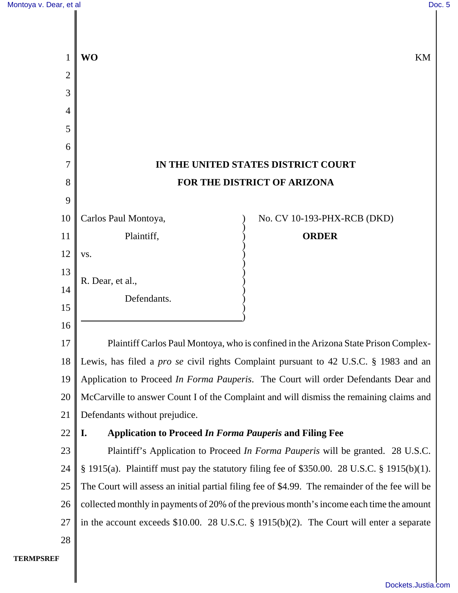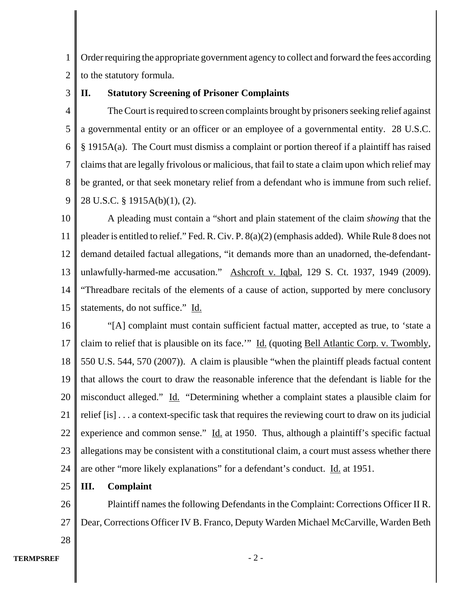1 2 Order requiring the appropriate government agency to collect and forward the fees according to the statutory formula.

3

# **II. Statutory Screening of Prisoner Complaints**

4 5 6 7 8 9 The Court is required to screen complaints brought by prisoners seeking relief against a governmental entity or an officer or an employee of a governmental entity. 28 U.S.C. § 1915A(a). The Court must dismiss a complaint or portion thereof if a plaintiff has raised claims that are legally frivolous or malicious, that fail to state a claim upon which relief may be granted, or that seek monetary relief from a defendant who is immune from such relief. 28 U.S.C. § 1915A(b)(1), (2).

10 11 12 13 14 15 A pleading must contain a "short and plain statement of the claim *showing* that the pleader is entitled to relief." Fed. R. Civ. P. 8(a)(2) (emphasis added). While Rule 8 does not demand detailed factual allegations, "it demands more than an unadorned, the-defendantunlawfully-harmed-me accusation." Ashcroft v. Iqbal, 129 S. Ct. 1937, 1949 (2009). "Threadbare recitals of the elements of a cause of action, supported by mere conclusory statements, do not suffice." Id.

16 17 18 19 20 21 22 23 24 "[A] complaint must contain sufficient factual matter, accepted as true, to 'state a claim to relief that is plausible on its face.'" Id. (quoting Bell Atlantic Corp. v. Twombly, 550 U.S. 544, 570 (2007)). A claim is plausible "when the plaintiff pleads factual content that allows the court to draw the reasonable inference that the defendant is liable for the misconduct alleged." Id. "Determining whether a complaint states a plausible claim for relief [is] . . . a context-specific task that requires the reviewing court to draw on its judicial experience and common sense." Id. at 1950. Thus, although a plaintiff's specific factual allegations may be consistent with a constitutional claim, a court must assess whether there are other "more likely explanations" for a defendant's conduct. Id. at 1951.

25 **III. Complaint**

26 27 Plaintiff names the following Defendants in the Complaint: Corrections Officer II R. Dear, Corrections Officer IV B. Franco, Deputy Warden Michael McCarville, Warden Beth

28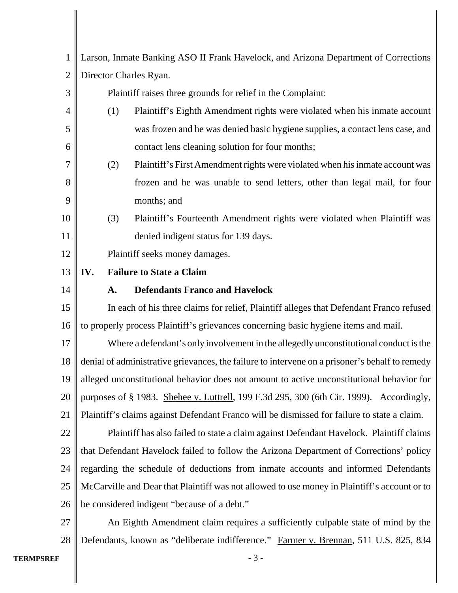| $\mathbf{1}$   | Larson, Inmate Banking ASO II Frank Havelock, and Arizona Department of Corrections            |                                                                               |
|----------------|------------------------------------------------------------------------------------------------|-------------------------------------------------------------------------------|
| $\overline{2}$ | Director Charles Ryan.                                                                         |                                                                               |
| 3              |                                                                                                | Plaintiff raises three grounds for relief in the Complaint:                   |
| 4              | (1)                                                                                            | Plaintiff's Eighth Amendment rights were violated when his inmate account     |
| 5              |                                                                                                | was frozen and he was denied basic hygiene supplies, a contact lens case, and |
| 6              |                                                                                                | contact lens cleaning solution for four months;                               |
| 7              | (2)                                                                                            | Plaintiff's First Amendment rights were violated when his inmate account was  |
| 8              |                                                                                                | frozen and he was unable to send letters, other than legal mail, for four     |
| 9              |                                                                                                | months; and                                                                   |
| 10             | (3)                                                                                            | Plaintiff's Fourteenth Amendment rights were violated when Plaintiff was      |
| 11             |                                                                                                | denied indigent status for 139 days.                                          |
| 12             | Plaintiff seeks money damages.                                                                 |                                                                               |
| 13             | IV.<br><b>Failure to State a Claim</b>                                                         |                                                                               |
| 14             | A.                                                                                             | <b>Defendants Franco and Havelock</b>                                         |
| 15             | In each of his three claims for relief, Plaintiff alleges that Defendant Franco refused        |                                                                               |
| 16             | to properly process Plaintiff's grievances concerning basic hygiene items and mail.            |                                                                               |
| 17             | Where a defendant's only involvement in the allegedly unconstitutional conduct is the          |                                                                               |
| 18             | denial of administrative grievances, the failure to intervene on a prisoner's behalf to remedy |                                                                               |
| 19             | alleged unconstitutional behavior does not amount to active unconstitutional behavior for      |                                                                               |
| 20             | purposes of § 1983. Shehee v. Luttrell, 199 F.3d 295, 300 (6th Cir. 1999). Accordingly,        |                                                                               |
| 21             | Plaintiff's claims against Defendant Franco will be dismissed for failure to state a claim.    |                                                                               |
| 22             | Plaintiff has also failed to state a claim against Defendant Havelock. Plaintiff claims        |                                                                               |
| 23             | that Defendant Havelock failed to follow the Arizona Department of Corrections' policy         |                                                                               |
| 24             | regarding the schedule of deductions from inmate accounts and informed Defendants              |                                                                               |
| 25             | McCarville and Dear that Plaintiff was not allowed to use money in Plaintiff's account or to   |                                                                               |
| 26             | be considered indigent "because of a debt."                                                    |                                                                               |
| 27             | An Eighth Amendment claim requires a sufficiently culpable state of mind by the                |                                                                               |
| 28             | Defendants, known as "deliberate indifference." Farmer v. Brennan, 511 U.S. 825, 834           |                                                                               |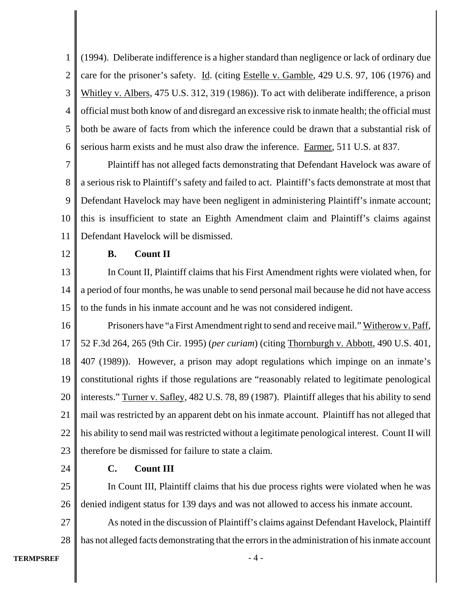1 2 3 4 5 6 (1994). Deliberate indifference is a higher standard than negligence or lack of ordinary due care for the prisoner's safety. Id. (citing Estelle v. Gamble, 429 U.S. 97, 106 (1976) and Whitley v. Albers, 475 U.S. 312, 319 (1986)). To act with deliberate indifference, a prison official must both know of and disregard an excessive risk to inmate health; the official must both be aware of facts from which the inference could be drawn that a substantial risk of serious harm exists and he must also draw the inference. Farmer, 511 U.S. at 837.

7 8 9 10 11 Plaintiff has not alleged facts demonstrating that Defendant Havelock was aware of a serious risk to Plaintiff's safety and failed to act. Plaintiff's facts demonstrate at most that Defendant Havelock may have been negligent in administering Plaintiff's inmate account; this is insufficient to state an Eighth Amendment claim and Plaintiff's claims against Defendant Havelock will be dismissed.

12

### **B. Count II**

13 14 15 In Count II, Plaintiff claims that his First Amendment rights were violated when, for a period of four months, he was unable to send personal mail because he did not have access to the funds in his inmate account and he was not considered indigent.

16 17 18 19 20 21 22 23 Prisoners have "a First Amendment right to send and receive mail." Witherow v. Paff, 52 F.3d 264, 265 (9th Cir. 1995) (*per curiam*) (citing Thornburgh v. Abbott, 490 U.S. 401, 407 (1989)). However, a prison may adopt regulations which impinge on an inmate's constitutional rights if those regulations are "reasonably related to legitimate penological interests." Turner v. Safley, 482 U.S. 78, 89 (1987). Plaintiff alleges that his ability to send mail was restricted by an apparent debt on his inmate account. Plaintiff has not alleged that his ability to send mail was restricted without a legitimate penological interest. Count II will therefore be dismissed for failure to state a claim.

24

# **C. Count III**

25 26 In Count III, Plaintiff claims that his due process rights were violated when he was denied indigent status for 139 days and was not allowed to access his inmate account.

27 28 As noted in the discussion of Plaintiff's claims against Defendant Havelock, Plaintiff has not alleged facts demonstrating that the errors in the administration of his inmate account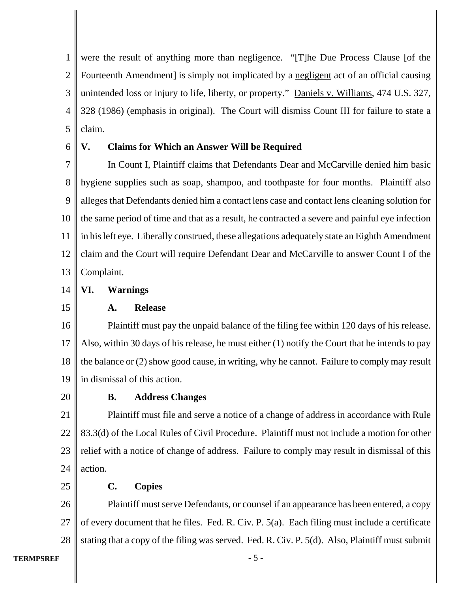1 2 3 4 5 were the result of anything more than negligence. "[T]he Due Process Clause [of the Fourteenth Amendment is simply not implicated by a <u>negligent</u> act of an official causing unintended loss or injury to life, liberty, or property." Daniels v. Williams, 474 U.S. 327, 328 (1986) (emphasis in original). The Court will dismiss Count III for failure to state a claim.

6

# **V. Claims for Which an Answer Will be Required**

7 8 9 10 11 12 13 In Count I, Plaintiff claims that Defendants Dear and McCarville denied him basic hygiene supplies such as soap, shampoo, and toothpaste for four months. Plaintiff also alleges that Defendants denied him a contact lens case and contact lens cleaning solution for the same period of time and that as a result, he contracted a severe and painful eye infection in his left eye. Liberally construed, these allegations adequately state an Eighth Amendment claim and the Court will require Defendant Dear and McCarville to answer Count I of the Complaint.

- 14 **VI. Warnings**
- 15

#### **A. Release**

16 17 18 19 Plaintiff must pay the unpaid balance of the filing fee within 120 days of his release. Also, within 30 days of his release, he must either (1) notify the Court that he intends to pay the balance or (2) show good cause, in writing, why he cannot. Failure to comply may result in dismissal of this action.

20

# **B. Address Changes**

21 22 23 24 Plaintiff must file and serve a notice of a change of address in accordance with Rule 83.3(d) of the Local Rules of Civil Procedure. Plaintiff must not include a motion for other relief with a notice of change of address. Failure to comply may result in dismissal of this action.

25

# **C. Copies**

26 27 28 Plaintiff must serve Defendants, or counsel if an appearance has been entered, a copy of every document that he files. Fed. R. Civ. P. 5(a). Each filing must include a certificate stating that a copy of the filing was served. Fed. R. Civ. P. 5(d). Also, Plaintiff must submit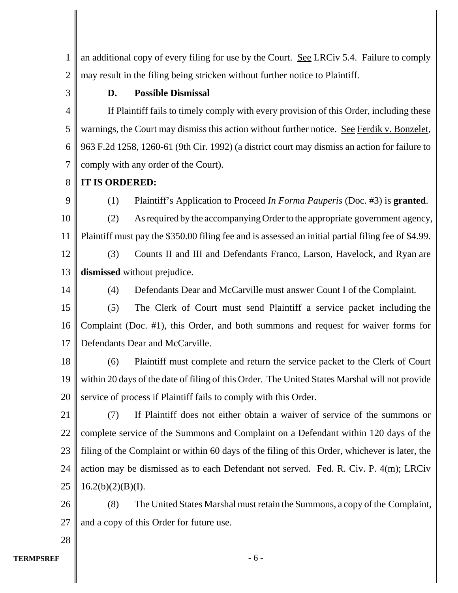1 2 an additional copy of every filing for use by the Court. See LRCiv 5.4. Failure to comply may result in the filing being stricken without further notice to Plaintiff.

3

# **D. Possible Dismissal**

4 5 6 7 If Plaintiff fails to timely comply with every provision of this Order, including these warnings, the Court may dismiss this action without further notice. See Ferdik v. Bonzelet, 963 F.2d 1258, 1260-61 (9th Cir. 1992) (a district court may dismiss an action for failure to comply with any order of the Court).

#### 8 **IT IS ORDERED:**

9

(1) Plaintiff's Application to Proceed *In Forma Pauperis* (Doc. #3) is **granted**.

10 11 (2) As required by the accompanying Order to the appropriate government agency, Plaintiff must pay the \$350.00 filing fee and is assessed an initial partial filing fee of \$4.99.

12 13 (3) Counts II and III and Defendants Franco, Larson, Havelock, and Ryan are **dismissed** without prejudice.

14

(4) Defendants Dear and McCarville must answer Count I of the Complaint.

15 16 17 (5) The Clerk of Court must send Plaintiff a service packet including the Complaint (Doc. #1), this Order, and both summons and request for waiver forms for Defendants Dear and McCarville.

18 19 20 (6) Plaintiff must complete and return the service packet to the Clerk of Court within 20 days of the date of filing of this Order. The United States Marshal will not provide service of process if Plaintiff fails to comply with this Order.

21 22 23 24 25 (7) If Plaintiff does not either obtain a waiver of service of the summons or complete service of the Summons and Complaint on a Defendant within 120 days of the filing of the Complaint or within 60 days of the filing of this Order, whichever is later, the action may be dismissed as to each Defendant not served. Fed. R. Civ. P. 4(m); LRCiv  $16.2(b)(2)(B)(I).$ 

26 27 (8) The United States Marshal must retain the Summons, a copy of the Complaint, and a copy of this Order for future use.

28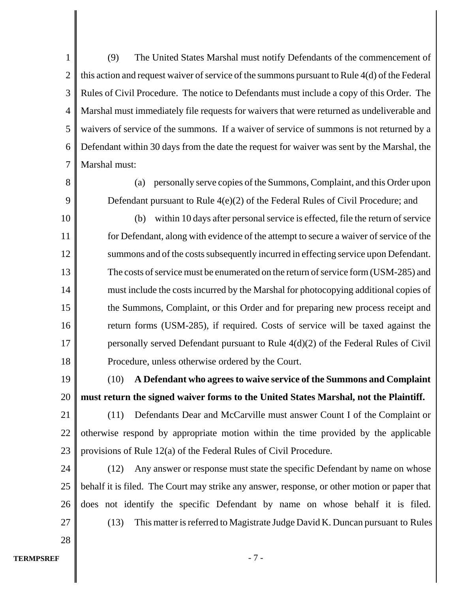1 2 3 4 5 6 7 (9) The United States Marshal must notify Defendants of the commencement of this action and request waiver of service of the summons pursuant to Rule 4(d) of the Federal Rules of Civil Procedure. The notice to Defendants must include a copy of this Order. The Marshal must immediately file requests for waivers that were returned as undeliverable and waivers of service of the summons. If a waiver of service of summons is not returned by a Defendant within 30 days from the date the request for waiver was sent by the Marshal, the Marshal must:

(a) personally serve copies of the Summons, Complaint, and this Order upon Defendant pursuant to Rule 4(e)(2) of the Federal Rules of Civil Procedure; and

10 11 12 13 14 15 16 17 18 (b) within 10 days after personal service is effected, file the return of service for Defendant, along with evidence of the attempt to secure a waiver of service of the summons and of the costs subsequently incurred in effecting service upon Defendant. The costs of service must be enumerated on the return of service form (USM-285) and must include the costs incurred by the Marshal for photocopying additional copies of the Summons, Complaint, or this Order and for preparing new process receipt and return forms (USM-285), if required. Costs of service will be taxed against the personally served Defendant pursuant to Rule 4(d)(2) of the Federal Rules of Civil Procedure, unless otherwise ordered by the Court.

19

20

28

8

9

(10) **A Defendant who agrees to waive service of the Summons and Complaint must return the signed waiver forms to the United States Marshal, not the Plaintiff.**

21 22 23 (11) Defendants Dear and McCarville must answer Count I of the Complaint or otherwise respond by appropriate motion within the time provided by the applicable provisions of Rule 12(a) of the Federal Rules of Civil Procedure.

24 25 26 27 (12) Any answer or response must state the specific Defendant by name on whose behalf it is filed. The Court may strike any answer, response, or other motion or paper that does not identify the specific Defendant by name on whose behalf it is filed. (13) This matter is referred to Magistrate Judge David K. Duncan pursuant to Rules

**TERMPSREF** - 7 -